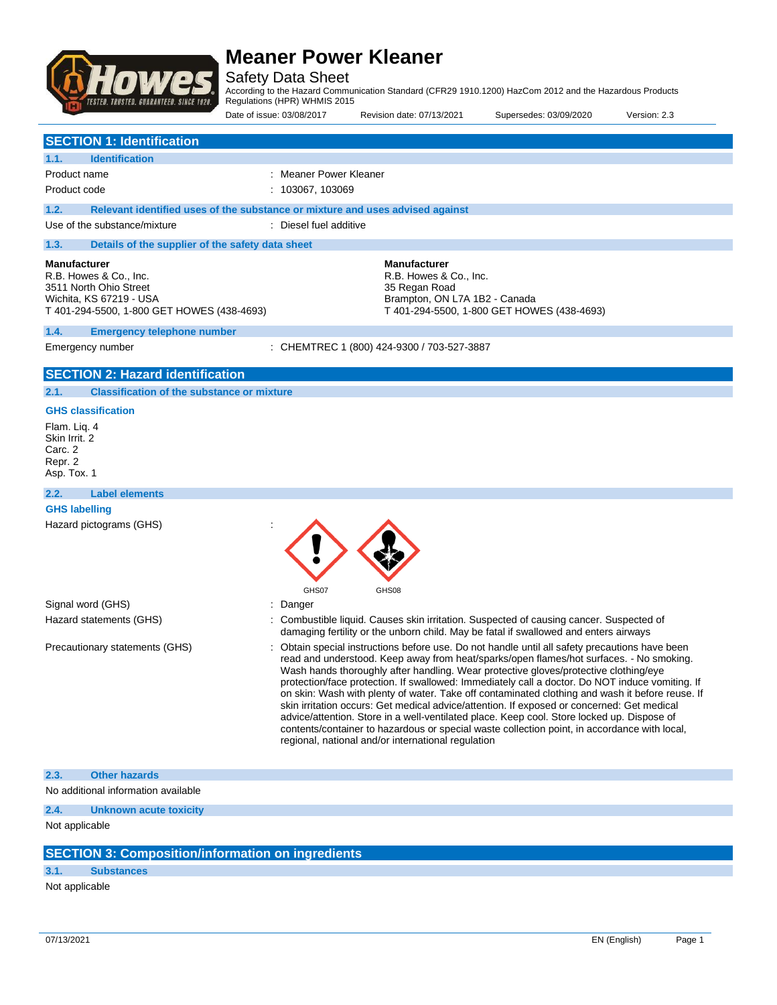

Safety Data Sheet

According to the Hazard Communication Standard (CFR29 1910.1200) HazCom 2012 and the Hazardous Products Regulations (HPR) WHMIS 2015

|                                                                                                                                                  | Date of issue: 03/08/2017                                                     | Revision date: 07/13/2021                                                                                                                                                                                                                                                                                                                                                                                                                                                                                                                                                                                                                                                                                                                                                                                                               | Supersedes: 03/09/2020                     | Version: 2.3 |
|--------------------------------------------------------------------------------------------------------------------------------------------------|-------------------------------------------------------------------------------|-----------------------------------------------------------------------------------------------------------------------------------------------------------------------------------------------------------------------------------------------------------------------------------------------------------------------------------------------------------------------------------------------------------------------------------------------------------------------------------------------------------------------------------------------------------------------------------------------------------------------------------------------------------------------------------------------------------------------------------------------------------------------------------------------------------------------------------------|--------------------------------------------|--------------|
| <b>SECTION 1: Identification</b>                                                                                                                 |                                                                               |                                                                                                                                                                                                                                                                                                                                                                                                                                                                                                                                                                                                                                                                                                                                                                                                                                         |                                            |              |
| <b>Identification</b><br>1.1.                                                                                                                    |                                                                               |                                                                                                                                                                                                                                                                                                                                                                                                                                                                                                                                                                                                                                                                                                                                                                                                                                         |                                            |              |
| Product name                                                                                                                                     | Meaner Power Kleaner                                                          |                                                                                                                                                                                                                                                                                                                                                                                                                                                                                                                                                                                                                                                                                                                                                                                                                                         |                                            |              |
| Product code                                                                                                                                     | : 103067, 103069                                                              |                                                                                                                                                                                                                                                                                                                                                                                                                                                                                                                                                                                                                                                                                                                                                                                                                                         |                                            |              |
| 1.2.                                                                                                                                             | Relevant identified uses of the substance or mixture and uses advised against |                                                                                                                                                                                                                                                                                                                                                                                                                                                                                                                                                                                                                                                                                                                                                                                                                                         |                                            |              |
| Use of the substance/mixture                                                                                                                     | : Diesel fuel additive                                                        |                                                                                                                                                                                                                                                                                                                                                                                                                                                                                                                                                                                                                                                                                                                                                                                                                                         |                                            |              |
| 1.3.<br>Details of the supplier of the safety data sheet                                                                                         |                                                                               |                                                                                                                                                                                                                                                                                                                                                                                                                                                                                                                                                                                                                                                                                                                                                                                                                                         |                                            |              |
| <b>Manufacturer</b><br>R.B. Howes & Co., Inc.<br>3511 North Ohio Street<br>Wichita, KS 67219 - USA<br>T 401-294-5500, 1-800 GET HOWES (438-4693) |                                                                               | <b>Manufacturer</b><br>R.B. Howes & Co., Inc.<br>35 Regan Road<br>Brampton, ON L7A 1B2 - Canada                                                                                                                                                                                                                                                                                                                                                                                                                                                                                                                                                                                                                                                                                                                                         | T 401-294-5500, 1-800 GET HOWES (438-4693) |              |
| 1.4.<br><b>Emergency telephone number</b>                                                                                                        |                                                                               |                                                                                                                                                                                                                                                                                                                                                                                                                                                                                                                                                                                                                                                                                                                                                                                                                                         |                                            |              |
| Emergency number                                                                                                                                 |                                                                               | : CHEMTREC 1 (800) 424-9300 / 703-527-3887                                                                                                                                                                                                                                                                                                                                                                                                                                                                                                                                                                                                                                                                                                                                                                                              |                                            |              |
| <b>SECTION 2: Hazard identification</b>                                                                                                          |                                                                               |                                                                                                                                                                                                                                                                                                                                                                                                                                                                                                                                                                                                                                                                                                                                                                                                                                         |                                            |              |
| 2.1.<br><b>Classification of the substance or mixture</b>                                                                                        |                                                                               |                                                                                                                                                                                                                                                                                                                                                                                                                                                                                                                                                                                                                                                                                                                                                                                                                                         |                                            |              |
| <b>GHS classification</b><br>Flam. Lig. 4<br>Skin Irrit. 2<br>Carc. 2<br>Repr. 2<br>Asp. Tox. 1                                                  |                                                                               |                                                                                                                                                                                                                                                                                                                                                                                                                                                                                                                                                                                                                                                                                                                                                                                                                                         |                                            |              |
| <b>Label elements</b><br>2.2.                                                                                                                    |                                                                               |                                                                                                                                                                                                                                                                                                                                                                                                                                                                                                                                                                                                                                                                                                                                                                                                                                         |                                            |              |
| <b>GHS labelling</b>                                                                                                                             |                                                                               |                                                                                                                                                                                                                                                                                                                                                                                                                                                                                                                                                                                                                                                                                                                                                                                                                                         |                                            |              |
| Hazard pictograms (GHS)                                                                                                                          | GHS07                                                                         | GHS08                                                                                                                                                                                                                                                                                                                                                                                                                                                                                                                                                                                                                                                                                                                                                                                                                                   |                                            |              |
| Signal word (GHS)                                                                                                                                | Danger                                                                        |                                                                                                                                                                                                                                                                                                                                                                                                                                                                                                                                                                                                                                                                                                                                                                                                                                         |                                            |              |
| Hazard statements (GHS)                                                                                                                          |                                                                               | Combustible liquid. Causes skin irritation. Suspected of causing cancer. Suspected of<br>damaging fertility or the unborn child. May be fatal if swallowed and enters airways                                                                                                                                                                                                                                                                                                                                                                                                                                                                                                                                                                                                                                                           |                                            |              |
| Precautionary statements (GHS)                                                                                                                   |                                                                               | Obtain special instructions before use. Do not handle until all safety precautions have been<br>read and understood. Keep away from heat/sparks/open flames/hot surfaces. - No smoking.<br>Wash hands thoroughly after handling. Wear protective gloves/protective clothing/eye<br>protection/face protection. If swallowed: Immediately call a doctor. Do NOT induce vomiting. If<br>on skin: Wash with plenty of water. Take off contaminated clothing and wash it before reuse. If<br>skin irritation occurs: Get medical advice/attention. If exposed or concerned: Get medical<br>advice/attention. Store in a well-ventilated place. Keep cool. Store locked up. Dispose of<br>contents/container to hazardous or special waste collection point, in accordance with local,<br>regional, national and/or international regulation |                                            |              |
| 2.3.<br><b>Other hazards</b>                                                                                                                     |                                                                               |                                                                                                                                                                                                                                                                                                                                                                                                                                                                                                                                                                                                                                                                                                                                                                                                                                         |                                            |              |
| No additional information available                                                                                                              |                                                                               |                                                                                                                                                                                                                                                                                                                                                                                                                                                                                                                                                                                                                                                                                                                                                                                                                                         |                                            |              |
| 2.4.<br>Unknown acute toxicity                                                                                                                   |                                                                               |                                                                                                                                                                                                                                                                                                                                                                                                                                                                                                                                                                                                                                                                                                                                                                                                                                         |                                            |              |
| Not applicable                                                                                                                                   |                                                                               |                                                                                                                                                                                                                                                                                                                                                                                                                                                                                                                                                                                                                                                                                                                                                                                                                                         |                                            |              |
|                                                                                                                                                  |                                                                               |                                                                                                                                                                                                                                                                                                                                                                                                                                                                                                                                                                                                                                                                                                                                                                                                                                         |                                            |              |
| <b>SECTION 3: Composition/information on ingredients</b>                                                                                         |                                                                               |                                                                                                                                                                                                                                                                                                                                                                                                                                                                                                                                                                                                                                                                                                                                                                                                                                         |                                            |              |

#### **3.1. Substances**

Not applicable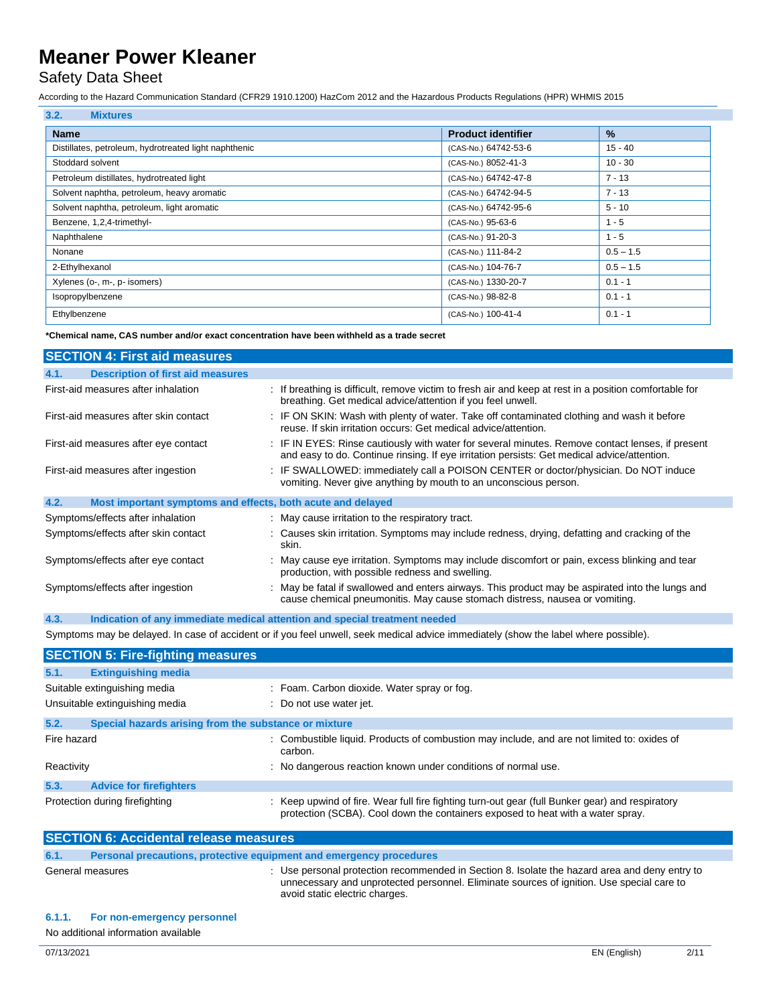### Safety Data Sheet

According to the Hazard Communication Standard (CFR29 1910.1200) HazCom 2012 and the Hazardous Products Regulations (HPR) WHMIS 2015

| 3.2.<br><b>Mixtures</b>                               |                           |               |
|-------------------------------------------------------|---------------------------|---------------|
| <b>Name</b>                                           | <b>Product identifier</b> | $\frac{9}{6}$ |
| Distillates, petroleum, hydrotreated light naphthenic | (CAS-No.) 64742-53-6      | $15 - 40$     |
| Stoddard solvent                                      | (CAS-No.) 8052-41-3       | $10 - 30$     |
| Petroleum distillates, hydrotreated light             | (CAS-No.) 64742-47-8      | $7 - 13$      |
| Solvent naphtha, petroleum, heavy aromatic            | (CAS-No.) 64742-94-5      | $7 - 13$      |
| Solvent naphtha, petroleum, light aromatic            | (CAS-No.) 64742-95-6      | $5 - 10$      |
| Benzene, 1,2,4-trimethyl-                             | (CAS-No.) 95-63-6         | $1 - 5$       |
| Naphthalene                                           | (CAS-No.) 91-20-3         | $1 - 5$       |
| Nonane                                                | (CAS-No.) 111-84-2        | $0.5 - 1.5$   |
| 2-Ethylhexanol                                        | (CAS-No.) 104-76-7        | $0.5 - 1.5$   |
| Xylenes (o-, m-, p- isomers)                          | (CAS-No.) 1330-20-7       | $0.1 - 1$     |
| Isopropylbenzene                                      | (CAS-No.) 98-82-8         | $0.1 - 1$     |
| Ethylbenzene                                          | (CAS-No.) 100-41-4        | $0.1 - 1$     |

**\*Chemical name, CAS number and/or exact concentration have been withheld as a trade secret**

| <b>SECTION 4: First aid measures</b>                                               |                                                                                                                                                                                                 |
|------------------------------------------------------------------------------------|-------------------------------------------------------------------------------------------------------------------------------------------------------------------------------------------------|
| <b>Description of first aid measures</b><br>4.1.                                   |                                                                                                                                                                                                 |
| First-aid measures after inhalation                                                | : If breathing is difficult, remove victim to fresh air and keep at rest in a position comfortable for<br>breathing. Get medical advice/attention if you feel unwell.                           |
| First-aid measures after skin contact                                              | : IF ON SKIN: Wash with plenty of water. Take off contaminated clothing and wash it before<br>reuse. If skin irritation occurs: Get medical advice/attention.                                   |
| First-aid measures after eye contact                                               | : IF IN EYES: Rinse cautiously with water for several minutes. Remove contact lenses, if present<br>and easy to do. Continue rinsing. If eye irritation persists: Get medical advice/attention. |
| First-aid measures after ingestion                                                 | : IF SWALLOWED: immediately call a POISON CENTER or doctor/physician. Do NOT induce<br>vomiting. Never give anything by mouth to an unconscious person.                                         |
| 4.2.<br>Most important symptoms and effects, both acute and delayed                |                                                                                                                                                                                                 |
| Symptoms/effects after inhalation                                                  | : May cause irritation to the respiratory tract.                                                                                                                                                |
| Symptoms/effects after skin contact                                                | : Causes skin irritation. Symptoms may include redness, drying, defatting and cracking of the<br>skin.                                                                                          |
| Symptoms/effects after eye contact                                                 | : May cause eye irritation. Symptoms may include discomfort or pain, excess blinking and tear<br>production, with possible redness and swelling.                                                |
| Symptoms/effects after ingestion                                                   | : May be fatal if swallowed and enters airways. This product may be aspirated into the lungs and<br>cause chemical pneumonitis. May cause stomach distress, nausea or vomiting.                 |
| 4.3.<br>Indication of any immediate medical attention and special treatment needed |                                                                                                                                                                                                 |

Symptoms may be delayed. In case of accident or if you feel unwell, seek medical advice immediately (show the label where possible).

| <b>SECTION 5: Fire-fighting measures</b>                      |                                                                                                                                                                                    |
|---------------------------------------------------------------|------------------------------------------------------------------------------------------------------------------------------------------------------------------------------------|
| 5.1.<br><b>Extinguishing media</b>                            |                                                                                                                                                                                    |
| Suitable extinguishing media                                  | : Foam. Carbon dioxide. Water spray or fog.                                                                                                                                        |
| Unsuitable extinguishing media                                | : Do not use water jet.                                                                                                                                                            |
| 5.2.<br>Special hazards arising from the substance or mixture |                                                                                                                                                                                    |
| Fire hazard                                                   | : Combustible liquid. Products of combustion may include, and are not limited to: oxides of<br>carbon.                                                                             |
| Reactivity                                                    | : No dangerous reaction known under conditions of normal use.                                                                                                                      |
| 5.3.<br><b>Advice for firefighters</b>                        |                                                                                                                                                                                    |
| Protection during firefighting                                | : Keep upwind of fire. Wear full fire fighting turn-out gear (full Bunker gear) and respiratory<br>protection (SCBA). Cool down the containers exposed to heat with a water spray. |
| CECTION C. Assistante valores measures                        |                                                                                                                                                                                    |

| <b>SECTION 6: Accidental release measures</b> |                                                                     |                                                                                                                                                                                                                              |
|-----------------------------------------------|---------------------------------------------------------------------|------------------------------------------------------------------------------------------------------------------------------------------------------------------------------------------------------------------------------|
| 6.1.                                          | Personal precautions, protective equipment and emergency procedures |                                                                                                                                                                                                                              |
|                                               | General measures                                                    | : Use personal protection recommended in Section 8. Isolate the hazard area and deny entry to<br>unnecessary and unprotected personnel. Eliminate sources of ignition. Use special care to<br>avoid static electric charges. |

#### **6.1.1. For non-emergency personnel**

No additional information available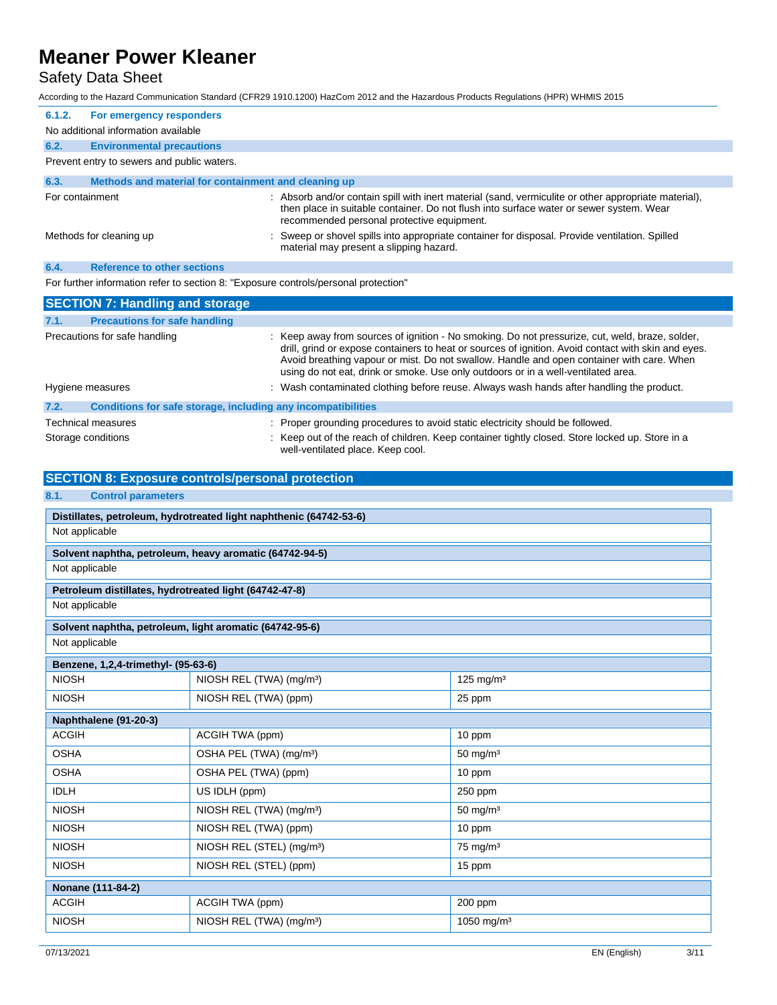### Safety Data Sheet

According to the Hazard Communication Standard (CFR29 1910.1200) HazCom 2012 and the Hazardous Products Regulations (HPR) WHMIS 2015

| 6.1.2.          | For emergency responders                             |                                                                                                                                                                                                                                               |  |
|-----------------|------------------------------------------------------|-----------------------------------------------------------------------------------------------------------------------------------------------------------------------------------------------------------------------------------------------|--|
|                 | No additional information available                  |                                                                                                                                                                                                                                               |  |
| 6.2.            | <b>Environmental precautions</b>                     |                                                                                                                                                                                                                                               |  |
|                 | Prevent entry to sewers and public waters.           |                                                                                                                                                                                                                                               |  |
| 6.3.            | Methods and material for containment and cleaning up |                                                                                                                                                                                                                                               |  |
| For containment |                                                      | : Absorb and/or contain spill with inert material (sand, vermiculite or other appropriate material),<br>then place in suitable container. Do not flush into surface water or sewer system. Wear<br>recommended personal protective equipment. |  |
|                 | Methods for cleaning up                              | : Sweep or shovel spills into appropriate container for disposal. Provide ventilation. Spilled<br>material may present a slipping hazard.                                                                                                     |  |
| 6.4.            | <b>Reference to other sections</b>                   |                                                                                                                                                                                                                                               |  |

For further information refer to section 8: "Exposure controls/personal protection"

|      | <b>SECTION 7: Handling and storage</b>                       |                                                                                                                                                                                                                                                                                                                                                                                          |
|------|--------------------------------------------------------------|------------------------------------------------------------------------------------------------------------------------------------------------------------------------------------------------------------------------------------------------------------------------------------------------------------------------------------------------------------------------------------------|
| 7.1. | <b>Precautions for safe handling</b>                         |                                                                                                                                                                                                                                                                                                                                                                                          |
|      | Precautions for safe handling                                | : Keep away from sources of ignition - No smoking. Do not pressurize, cut, weld, braze, solder,<br>drill, grind or expose containers to heat or sources of ignition. Avoid contact with skin and eyes.<br>Avoid breathing vapour or mist. Do not swallow. Handle and open container with care. When<br>using do not eat, drink or smoke. Use only outdoors or in a well-ventilated area. |
|      | Hygiene measures                                             | : Wash contaminated clothing before reuse. Always wash hands after handling the product.                                                                                                                                                                                                                                                                                                 |
| 7.2. | Conditions for safe storage, including any incompatibilities |                                                                                                                                                                                                                                                                                                                                                                                          |
|      | Technical measures                                           | : Proper grounding procedures to avoid static electricity should be followed.                                                                                                                                                                                                                                                                                                            |
|      | Storage conditions                                           | : Keep out of the reach of children. Keep container tightly closed. Store locked up. Store in a<br>well-ventilated place. Keep cool.                                                                                                                                                                                                                                                     |

#### **SECTION 8: Exposure controls/personal protection**

| 8.1.<br><b>Control parameters</b>                       |                                                                    |                        |
|---------------------------------------------------------|--------------------------------------------------------------------|------------------------|
|                                                         | Distillates, petroleum, hydrotreated light naphthenic (64742-53-6) |                        |
| Not applicable                                          |                                                                    |                        |
|                                                         | Solvent naphtha, petroleum, heavy aromatic (64742-94-5)            |                        |
| Not applicable                                          |                                                                    |                        |
| Petroleum distillates, hydrotreated light (64742-47-8)  |                                                                    |                        |
| Not applicable                                          |                                                                    |                        |
| Solvent naphtha, petroleum, light aromatic (64742-95-6) |                                                                    |                        |
| Not applicable                                          |                                                                    |                        |
| Benzene, 1,2,4-trimethyl- (95-63-6)                     |                                                                    |                        |
| <b>NIOSH</b>                                            | NIOSH REL (TWA) (mg/m <sup>3</sup> )                               | 125 mg/m $3$           |
| <b>NIOSH</b>                                            | NIOSH REL (TWA) (ppm)                                              | 25 ppm                 |
| Naphthalene (91-20-3)                                   |                                                                    |                        |
| <b>ACGIH</b>                                            | ACGIH TWA (ppm)                                                    | 10 ppm                 |
| <b>OSHA</b>                                             | OSHA PEL (TWA) (mg/m <sup>3</sup> )                                | $50$ mg/m <sup>3</sup> |
| <b>OSHA</b>                                             | OSHA PEL (TWA) (ppm)                                               | 10 ppm                 |
| <b>IDLH</b>                                             | US IDLH (ppm)                                                      | 250 ppm                |
| <b>NIOSH</b>                                            | NIOSH REL (TWA) (mg/m <sup>3</sup> )                               | $50 \text{ mg/m}^3$    |
| <b>NIOSH</b>                                            | NIOSH REL (TWA) (ppm)                                              | 10 ppm                 |
| <b>NIOSH</b>                                            | NIOSH REL (STEL) (mg/m <sup>3</sup> )                              | $75$ mg/m <sup>3</sup> |
| <b>NIOSH</b>                                            | NIOSH REL (STEL) (ppm)                                             | 15 ppm                 |
| Nonane (111-84-2)                                       |                                                                    |                        |
| <b>ACGIH</b>                                            | ACGIH TWA (ppm)                                                    | 200 ppm                |
| <b>NIOSH</b>                                            | NIOSH REL (TWA) (mg/m <sup>3</sup> )                               | 1050 mg/m <sup>3</sup> |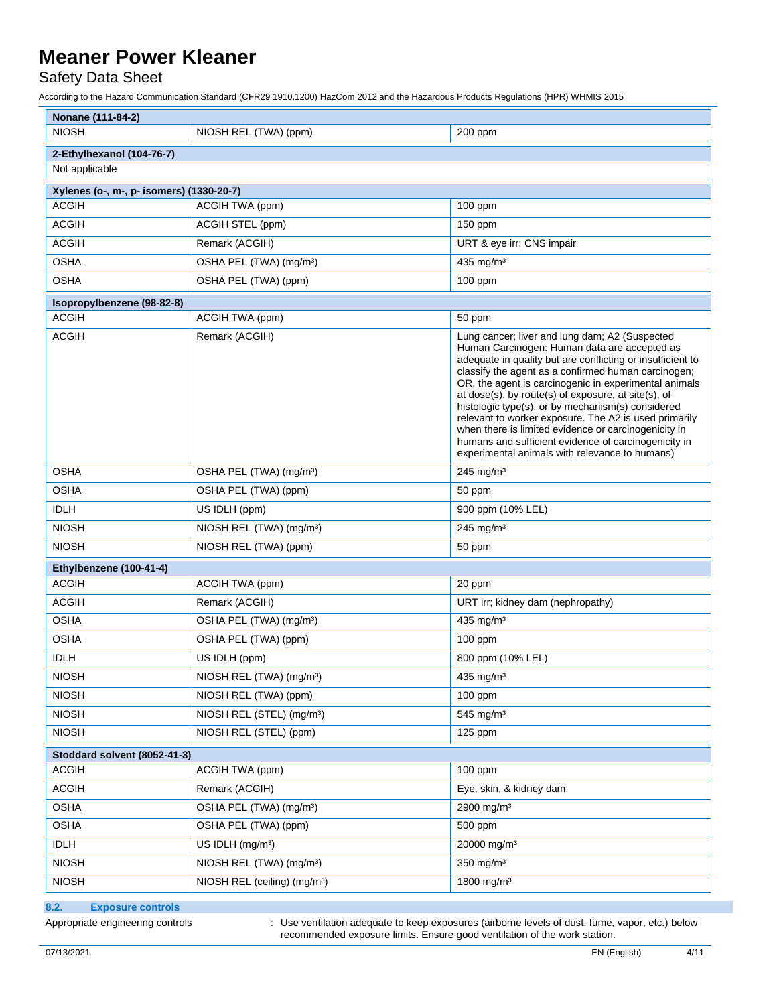Safety Data Sheet

According to the Hazard Communication Standard (CFR29 1910.1200) HazCom 2012 and the Hazardous Products Regulations (HPR) WHMIS 2015

| Nonane (111-84-2)                        |                                          |                                                                                                                                                                                                                                                                                                                                                                                                                                                                                                                                                                                                                     |
|------------------------------------------|------------------------------------------|---------------------------------------------------------------------------------------------------------------------------------------------------------------------------------------------------------------------------------------------------------------------------------------------------------------------------------------------------------------------------------------------------------------------------------------------------------------------------------------------------------------------------------------------------------------------------------------------------------------------|
| <b>NIOSH</b>                             | NIOSH REL (TWA) (ppm)                    | 200 ppm                                                                                                                                                                                                                                                                                                                                                                                                                                                                                                                                                                                                             |
| 2-Ethylhexanol (104-76-7)                |                                          |                                                                                                                                                                                                                                                                                                                                                                                                                                                                                                                                                                                                                     |
| Not applicable                           |                                          |                                                                                                                                                                                                                                                                                                                                                                                                                                                                                                                                                                                                                     |
| Xylenes (o-, m-, p- isomers) (1330-20-7) |                                          |                                                                                                                                                                                                                                                                                                                                                                                                                                                                                                                                                                                                                     |
| <b>ACGIH</b>                             | ACGIH TWA (ppm)                          | $100$ ppm                                                                                                                                                                                                                                                                                                                                                                                                                                                                                                                                                                                                           |
| <b>ACGIH</b>                             | ACGIH STEL (ppm)                         | $150$ ppm                                                                                                                                                                                                                                                                                                                                                                                                                                                                                                                                                                                                           |
| <b>ACGIH</b>                             | Remark (ACGIH)                           | URT & eye irr; CNS impair                                                                                                                                                                                                                                                                                                                                                                                                                                                                                                                                                                                           |
| <b>OSHA</b>                              | OSHA PEL (TWA) (mg/m <sup>3</sup> )      | 435 mg/m <sup>3</sup>                                                                                                                                                                                                                                                                                                                                                                                                                                                                                                                                                                                               |
| <b>OSHA</b>                              | OSHA PEL (TWA) (ppm)                     | $100$ ppm                                                                                                                                                                                                                                                                                                                                                                                                                                                                                                                                                                                                           |
| Isopropylbenzene (98-82-8)               |                                          |                                                                                                                                                                                                                                                                                                                                                                                                                                                                                                                                                                                                                     |
| <b>ACGIH</b>                             | ACGIH TWA (ppm)                          | 50 ppm                                                                                                                                                                                                                                                                                                                                                                                                                                                                                                                                                                                                              |
| <b>ACGIH</b>                             | Remark (ACGIH)                           | Lung cancer; liver and lung dam; A2 (Suspected<br>Human Carcinogen: Human data are accepted as<br>adequate in quality but are conflicting or insufficient to<br>classify the agent as a confirmed human carcinogen;<br>OR, the agent is carcinogenic in experimental animals<br>at dose(s), by route(s) of exposure, at site(s), of<br>histologic type(s), or by mechanism(s) considered<br>relevant to worker exposure. The A2 is used primarily<br>when there is limited evidence or carcinogenicity in<br>humans and sufficient evidence of carcinogenicity in<br>experimental animals with relevance to humans) |
| <b>OSHA</b>                              | OSHA PEL (TWA) (mg/m <sup>3</sup> )      | 245 mg/m $3$                                                                                                                                                                                                                                                                                                                                                                                                                                                                                                                                                                                                        |
| <b>OSHA</b>                              | OSHA PEL (TWA) (ppm)                     | 50 ppm                                                                                                                                                                                                                                                                                                                                                                                                                                                                                                                                                                                                              |
| <b>IDLH</b>                              | US IDLH (ppm)                            | 900 ppm (10% LEL)                                                                                                                                                                                                                                                                                                                                                                                                                                                                                                                                                                                                   |
| <b>NIOSH</b>                             | NIOSH REL (TWA) (mg/m <sup>3</sup> )     | $245$ mg/m <sup>3</sup>                                                                                                                                                                                                                                                                                                                                                                                                                                                                                                                                                                                             |
| <b>NIOSH</b>                             | NIOSH REL (TWA) (ppm)                    | 50 ppm                                                                                                                                                                                                                                                                                                                                                                                                                                                                                                                                                                                                              |
| Ethylbenzene (100-41-4)                  |                                          |                                                                                                                                                                                                                                                                                                                                                                                                                                                                                                                                                                                                                     |
| <b>ACGIH</b>                             | ACGIH TWA (ppm)                          | 20 ppm                                                                                                                                                                                                                                                                                                                                                                                                                                                                                                                                                                                                              |
| <b>ACGIH</b>                             | Remark (ACGIH)                           | URT irr; kidney dam (nephropathy)                                                                                                                                                                                                                                                                                                                                                                                                                                                                                                                                                                                   |
| <b>OSHA</b>                              | OSHA PEL (TWA) (mg/m <sup>3</sup> )      | 435 mg/m <sup>3</sup>                                                                                                                                                                                                                                                                                                                                                                                                                                                                                                                                                                                               |
| <b>OSHA</b>                              | OSHA PEL (TWA) (ppm)                     | 100 ppm                                                                                                                                                                                                                                                                                                                                                                                                                                                                                                                                                                                                             |
| <b>IDLH</b>                              | US IDLH (ppm)                            | 800 ppm (10% LEL)                                                                                                                                                                                                                                                                                                                                                                                                                                                                                                                                                                                                   |
| <b>NIOSH</b>                             | NIOSH REL (TWA) (mg/m <sup>3</sup> )     | 435 mg/m <sup>3</sup>                                                                                                                                                                                                                                                                                                                                                                                                                                                                                                                                                                                               |
| <b>NIOSH</b>                             | NIOSH REL (TWA) (ppm)                    | $100$ ppm                                                                                                                                                                                                                                                                                                                                                                                                                                                                                                                                                                                                           |
| <b>NIOSH</b>                             | NIOSH REL (STEL) (mg/m <sup>3</sup> )    | 545 mg/m <sup>3</sup>                                                                                                                                                                                                                                                                                                                                                                                                                                                                                                                                                                                               |
| <b>NIOSH</b>                             | NIOSH REL (STEL) (ppm)                   | $125$ ppm                                                                                                                                                                                                                                                                                                                                                                                                                                                                                                                                                                                                           |
| Stoddard solvent (8052-41-3)             |                                          |                                                                                                                                                                                                                                                                                                                                                                                                                                                                                                                                                                                                                     |
| <b>ACGIH</b>                             | ACGIH TWA (ppm)                          | $100$ ppm                                                                                                                                                                                                                                                                                                                                                                                                                                                                                                                                                                                                           |
| <b>ACGIH</b>                             | Remark (ACGIH)                           | Eye, skin, & kidney dam;                                                                                                                                                                                                                                                                                                                                                                                                                                                                                                                                                                                            |
| <b>OSHA</b>                              | OSHA PEL (TWA) (mg/m <sup>3</sup> )      | 2900 mg/m <sup>3</sup>                                                                                                                                                                                                                                                                                                                                                                                                                                                                                                                                                                                              |
| <b>OSHA</b>                              | OSHA PEL (TWA) (ppm)                     | 500 ppm                                                                                                                                                                                                                                                                                                                                                                                                                                                                                                                                                                                                             |
| <b>IDLH</b>                              | US IDLH (mg/m <sup>3</sup> )             | 20000 mg/m <sup>3</sup>                                                                                                                                                                                                                                                                                                                                                                                                                                                                                                                                                                                             |
| <b>NIOSH</b>                             | NIOSH REL (TWA) (mg/m <sup>3</sup> )     | 350 mg/m <sup>3</sup>                                                                                                                                                                                                                                                                                                                                                                                                                                                                                                                                                                                               |
| <b>NIOSH</b>                             | NIOSH REL (ceiling) (mg/m <sup>3</sup> ) | 1800 mg/m <sup>3</sup>                                                                                                                                                                                                                                                                                                                                                                                                                                                                                                                                                                                              |

**8.2. Exposure controls**

Appropriate engineering controls : Use ventilation adequate to keep exposures (airborne levels of dust, fume, vapor, etc.) below recommended exposure limits. Ensure good ventilation of the work station.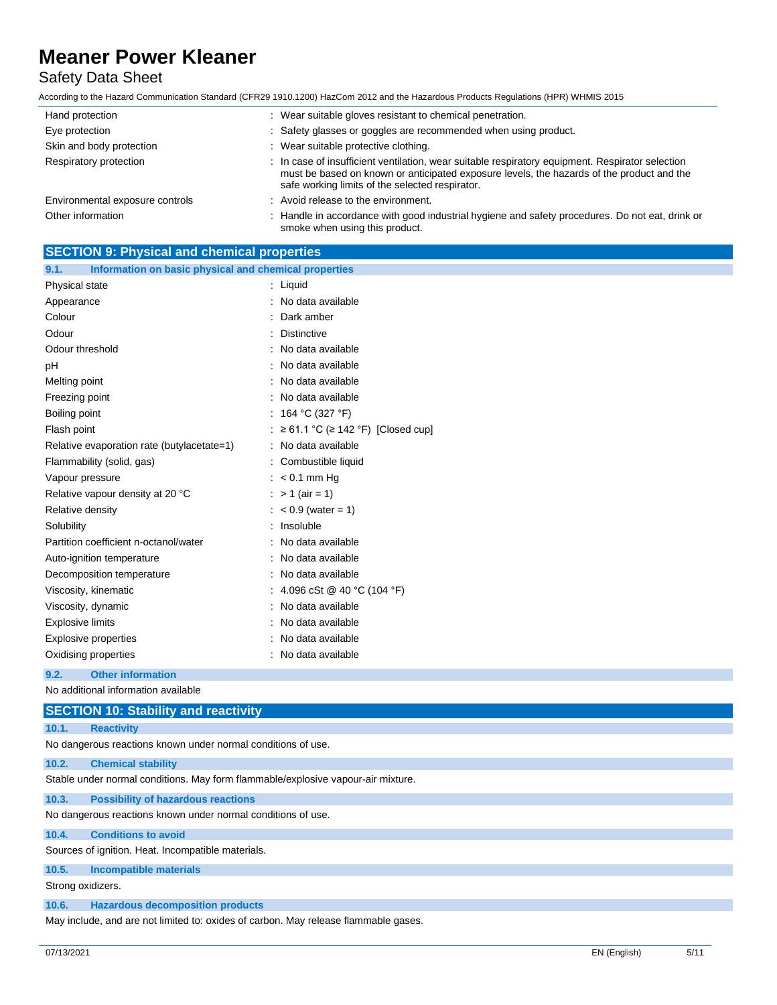### Safety Data Sheet

| Hand protection                 | : Wear suitable gloves resistant to chemical penetration.                                                                                                                                                                                        |
|---------------------------------|--------------------------------------------------------------------------------------------------------------------------------------------------------------------------------------------------------------------------------------------------|
| Eye protection                  | : Safety glasses or goggles are recommended when using product.                                                                                                                                                                                  |
| Skin and body protection        | : Wear suitable protective clothing.                                                                                                                                                                                                             |
| Respiratory protection          | : In case of insufficient ventilation, wear suitable respiratory equipment. Respirator selection<br>must be based on known or anticipated exposure levels, the hazards of the product and the<br>safe working limits of the selected respirator. |
| Environmental exposure controls | : Avoid release to the environment.                                                                                                                                                                                                              |
| Other information               | : Handle in accordance with good industrial hygiene and safety procedures. Do not eat, drink or<br>smoke when using this product.                                                                                                                |

| <b>SECTION 9: Physical and chemical properties</b>            |                                                |
|---------------------------------------------------------------|------------------------------------------------|
| Information on basic physical and chemical properties<br>9.1. |                                                |
| Physical state                                                | : Liquid                                       |
| Appearance                                                    | : No data available                            |
| Colour                                                        | Dark amber                                     |
| Odour                                                         | <b>Distinctive</b>                             |
| Odour threshold                                               | : No data available                            |
| pH                                                            | : No data available                            |
| Melting point                                                 | : No data available                            |
| Freezing point                                                | : No data available                            |
| Boiling point                                                 | : 164 °C (327 °F)                              |
| Flash point                                                   | $: \geq 61.1$ °C ( $\geq 142$ °F) [Closed cup] |
| Relative evaporation rate (butylacetate=1)                    | : No data available                            |
| Flammability (solid, gas)                                     | : Combustible liquid                           |
| Vapour pressure                                               | $: < 0.1$ mm Hg                                |
| Relative vapour density at 20 °C                              | : $> 1$ (air = 1)                              |
| Relative density                                              | $: < 0.9$ (water = 1)                          |
| Solubility                                                    | : Insoluble                                    |
| Partition coefficient n-octanol/water                         | : No data available                            |
| Auto-ignition temperature                                     | : No data available                            |
| Decomposition temperature                                     | : No data available                            |
| Viscosity, kinematic                                          | : 4.096 cSt @ 40 °C (104 °F)                   |
| Viscosity, dynamic                                            | : No data available                            |
| <b>Explosive limits</b>                                       | : No data available                            |
| : No data available<br><b>Explosive properties</b>            |                                                |
| Oxidising properties                                          | : No data available                            |
| <b>Other information</b><br>9.2.                              |                                                |
| No additional information available                           |                                                |

|                   | <b>SECTION 10: Stability and reactivity</b>                                         |
|-------------------|-------------------------------------------------------------------------------------|
| 10.1.             | <b>Reactivity</b>                                                                   |
|                   | No dangerous reactions known under normal conditions of use.                        |
| 10.2.             | <b>Chemical stability</b>                                                           |
|                   | Stable under normal conditions. May form flammable/explosive vapour-air mixture.    |
| 10.3.             | <b>Possibility of hazardous reactions</b>                                           |
|                   | No dangerous reactions known under normal conditions of use.                        |
| 10.4.             | <b>Conditions to avoid</b>                                                          |
|                   | Sources of ignition. Heat. Incompatible materials.                                  |
| 10.5.             | <b>Incompatible materials</b>                                                       |
| Strong oxidizers. |                                                                                     |
| 10.6.             | <b>Hazardous decomposition products</b>                                             |
|                   | May include, and are not limited to: oxides of carbon. May release flammable gases. |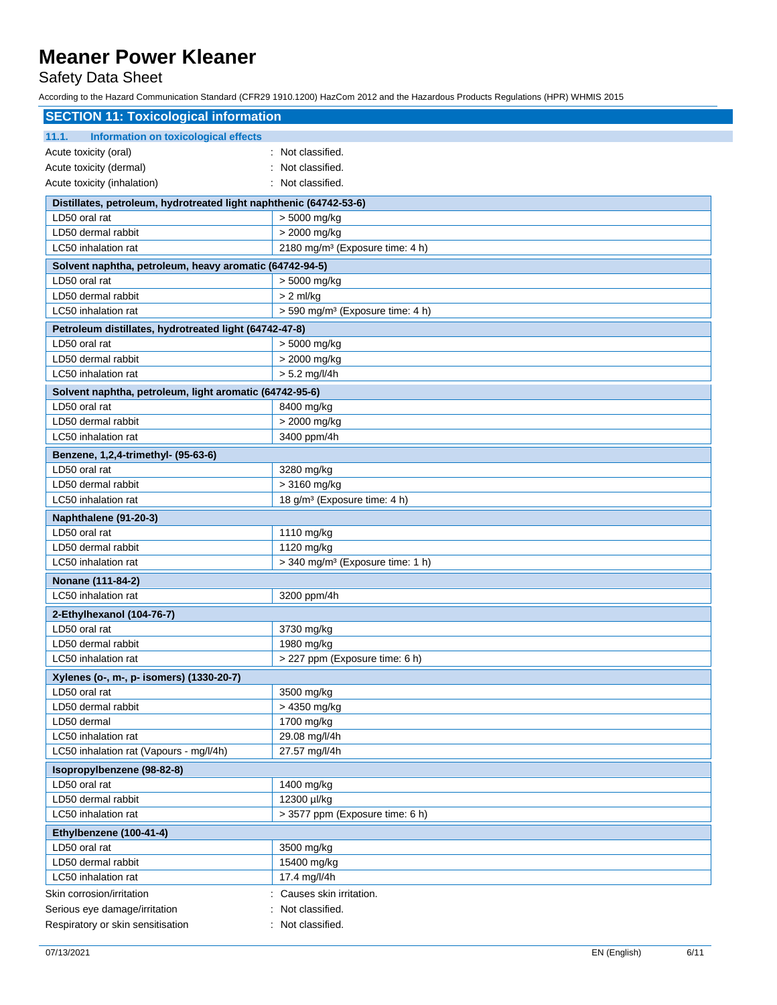Safety Data Sheet

| <b>SECTION 11: Toxicological information</b>                             |                                                            |
|--------------------------------------------------------------------------|------------------------------------------------------------|
| Information on toxicological effects<br>11.1.                            |                                                            |
| Acute toxicity (oral)                                                    | Not classified.                                            |
| Acute toxicity (dermal)                                                  | Not classified.                                            |
| Acute toxicity (inhalation)                                              | Not classified.                                            |
| Distillates, petroleum, hydrotreated light naphthenic (64742-53-6)       |                                                            |
| LD50 oral rat                                                            | > 5000 mg/kg                                               |
| LD50 dermal rabbit                                                       | > 2000 mg/kg                                               |
| LC50 inhalation rat                                                      | 2180 mg/m <sup>3</sup> (Exposure time: 4 h)                |
| Solvent naphtha, petroleum, heavy aromatic (64742-94-5)                  |                                                            |
| LD50 oral rat                                                            | > 5000 mg/kg                                               |
| LD50 dermal rabbit                                                       | $> 2$ ml/kg                                                |
| LC50 inhalation rat                                                      | > 590 mg/m <sup>3</sup> (Exposure time: 4 h)               |
| Petroleum distillates, hydrotreated light (64742-47-8)                   |                                                            |
| LD50 oral rat                                                            | > 5000 mg/kg                                               |
| LD50 dermal rabbit                                                       | > 2000 mg/kg                                               |
| LC50 inhalation rat                                                      | $> 5.2$ mg/l/4h                                            |
|                                                                          |                                                            |
| Solvent naphtha, petroleum, light aromatic (64742-95-6)<br>LD50 oral rat |                                                            |
| LD50 dermal rabbit                                                       | 8400 mg/kg<br>> 2000 mg/kg                                 |
| LC50 inhalation rat                                                      | 3400 ppm/4h                                                |
|                                                                          |                                                            |
| Benzene, 1,2,4-trimethyl- (95-63-6)<br>LD50 oral rat                     |                                                            |
| LD50 dermal rabbit                                                       | 3280 mg/kg<br>> 3160 mg/kg                                 |
| LC50 inhalation rat                                                      | 18 g/m <sup>3</sup> (Exposure time: 4 h)                   |
|                                                                          |                                                            |
| Naphthalene (91-20-3)                                                    |                                                            |
| LD50 oral rat                                                            | 1110 mg/kg                                                 |
| LD50 dermal rabbit<br>LC50 inhalation rat                                | 1120 mg/kg<br>> 340 mg/m <sup>3</sup> (Exposure time: 1 h) |
|                                                                          |                                                            |
| Nonane (111-84-2)                                                        |                                                            |
| LC50 inhalation rat                                                      | 3200 ppm/4h                                                |
| 2-Ethylhexanol (104-76-7)                                                |                                                            |
| LD50 oral rat                                                            | 3730 mg/kg                                                 |
| LD50 dermal rabbit                                                       | 1980 mg/kg                                                 |
| LC50 inhalation rat                                                      | > 227 ppm (Exposure time: 6 h)                             |
| Xylenes (o-, m-, p- isomers) (1330-20-7)                                 |                                                            |
| LD50 oral rat                                                            | 3500 mg/kg                                                 |
| LD50 dermal rabbit                                                       | > 4350 mg/kg                                               |
| LD50 dermal                                                              | 1700 mg/kg                                                 |
| LC50 inhalation rat                                                      | 29.08 mg/l/4h                                              |
| LC50 inhalation rat (Vapours - mg/l/4h)                                  | 27.57 mg/l/4h                                              |
| Isopropylbenzene (98-82-8)                                               |                                                            |
| LD50 oral rat                                                            | 1400 mg/kg                                                 |
| LD50 dermal rabbit                                                       | 12300 µl/kg                                                |
| LC50 inhalation rat                                                      | > 3577 ppm (Exposure time: 6 h)                            |
| Ethylbenzene (100-41-4)                                                  |                                                            |
| LD50 oral rat                                                            | 3500 mg/kg                                                 |
| LD50 dermal rabbit                                                       | 15400 mg/kg                                                |
| LC50 inhalation rat                                                      | 17.4 mg/l/4h                                               |
| Skin corrosion/irritation                                                | Causes skin irritation.                                    |
| Serious eye damage/irritation                                            | Not classified.                                            |
| Respiratory or skin sensitisation                                        | : Not classified.                                          |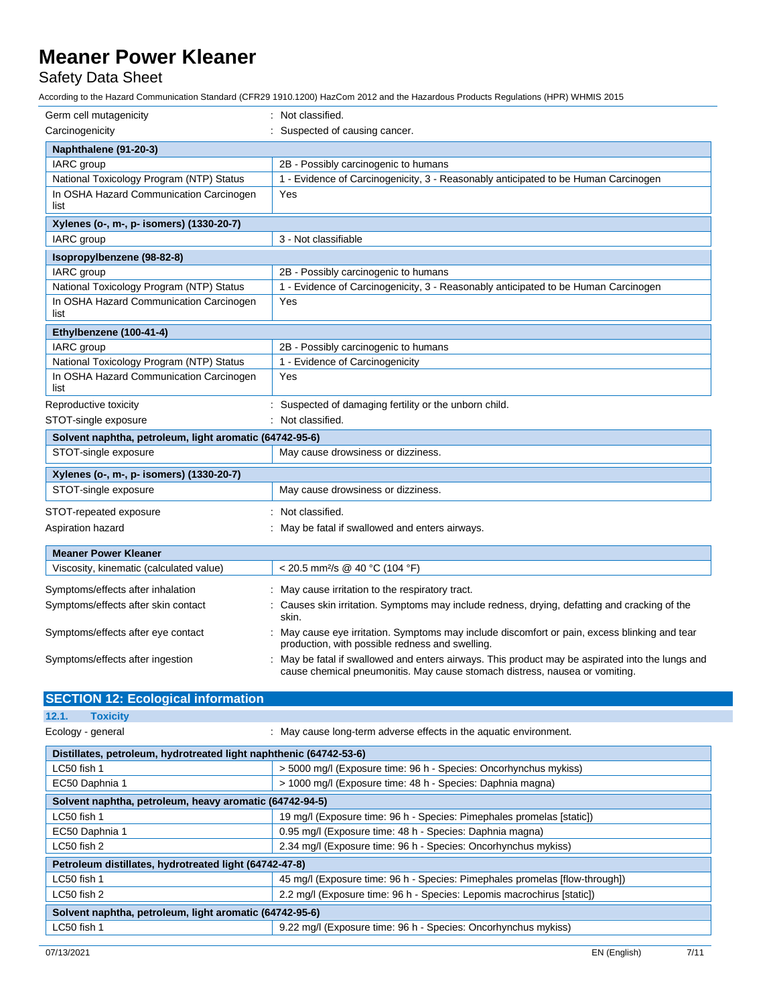Safety Data Sheet

| Germ cell mutagenicity                                  | Not classified.                                                                                                                                                               |
|---------------------------------------------------------|-------------------------------------------------------------------------------------------------------------------------------------------------------------------------------|
| Carcinogenicity                                         | Suspected of causing cancer.                                                                                                                                                  |
| Naphthalene (91-20-3)                                   |                                                                                                                                                                               |
| IARC group                                              | 2B - Possibly carcinogenic to humans                                                                                                                                          |
| National Toxicology Program (NTP) Status                | 1 - Evidence of Carcinogenicity, 3 - Reasonably anticipated to be Human Carcinogen                                                                                            |
| In OSHA Hazard Communication Carcinogen<br>list         | Yes                                                                                                                                                                           |
| Xylenes (o-, m-, p- isomers) (1330-20-7)                |                                                                                                                                                                               |
| IARC group                                              | 3 - Not classifiable                                                                                                                                                          |
| Isopropylbenzene (98-82-8)                              |                                                                                                                                                                               |
| IARC group                                              | 2B - Possibly carcinogenic to humans                                                                                                                                          |
| National Toxicology Program (NTP) Status                | 1 - Evidence of Carcinogenicity, 3 - Reasonably anticipated to be Human Carcinogen                                                                                            |
| In OSHA Hazard Communication Carcinogen<br>list         | Yes                                                                                                                                                                           |
| Ethylbenzene (100-41-4)                                 |                                                                                                                                                                               |
| IARC group                                              | 2B - Possibly carcinogenic to humans                                                                                                                                          |
| National Toxicology Program (NTP) Status                | 1 - Evidence of Carcinogenicity                                                                                                                                               |
| In OSHA Hazard Communication Carcinogen<br>list         | Yes                                                                                                                                                                           |
| Reproductive toxicity                                   | Suspected of damaging fertility or the unborn child.                                                                                                                          |
| STOT-single exposure                                    | : Not classified.                                                                                                                                                             |
| Solvent naphtha, petroleum, light aromatic (64742-95-6) |                                                                                                                                                                               |
| STOT-single exposure                                    | May cause drowsiness or dizziness.                                                                                                                                            |
| Xylenes (o-, m-, p- isomers) (1330-20-7)                |                                                                                                                                                                               |
| STOT-single exposure                                    | May cause drowsiness or dizziness.                                                                                                                                            |
| STOT-repeated exposure                                  | Not classified.                                                                                                                                                               |
| Aspiration hazard                                       | May be fatal if swallowed and enters airways.                                                                                                                                 |
| <b>Meaner Power Kleaner</b>                             |                                                                                                                                                                               |
| Viscosity, kinematic (calculated value)                 | < 20.5 mm <sup>2</sup> /s @ 40 °C (104 °F)                                                                                                                                    |
| Symptoms/effects after inhalation                       | May cause irritation to the respiratory tract.                                                                                                                                |
| Symptoms/effects after skin contact                     | Causes skin irritation. Symptoms may include redness, drying, defatting and cracking of the<br>skin.                                                                          |
| Symptoms/effects after eye contact                      | May cause eye irritation. Symptoms may include discomfort or pain, excess blinking and tear<br>production, with possible redness and swelling.                                |
| Symptoms/effects after ingestion                        | May be fatal if swallowed and enters airways. This product may be aspirated into the lungs and<br>cause chemical pneumonitis. May cause stomach distress, nausea or vomiting. |
| <b>SECTION 12: Ecological information</b>               |                                                                                                                                                                               |
| 12.1.<br>Toxicity                                       |                                                                                                                                                                               |

| Ecology - general                                                  | : May cause long-term adverse effects in the aquatic environment.           |  |
|--------------------------------------------------------------------|-----------------------------------------------------------------------------|--|
| Distillates, petroleum, hydrotreated light naphthenic (64742-53-6) |                                                                             |  |
| LC50 fish 1                                                        | > 5000 mg/l (Exposure time: 96 h - Species: Oncorhynchus mykiss)            |  |
| EC50 Daphnia 1                                                     | > 1000 mg/l (Exposure time: 48 h - Species: Daphnia magna)                  |  |
| Solvent naphtha, petroleum, heavy aromatic (64742-94-5)            |                                                                             |  |
| LC50 fish 1                                                        | 19 mg/l (Exposure time: 96 h - Species: Pimephales promelas [static])       |  |
| EC50 Daphnia 1                                                     | 0.95 mg/l (Exposure time: 48 h - Species: Daphnia magna)                    |  |
| LC50 fish 2                                                        | 2.34 mg/l (Exposure time: 96 h - Species: Oncorhynchus mykiss)              |  |
| Petroleum distillates, hydrotreated light (64742-47-8)             |                                                                             |  |
| LC50 fish 1                                                        | 45 mg/l (Exposure time: 96 h - Species: Pimephales promelas [flow-through]) |  |
| LC50 fish 2                                                        | 2.2 mg/l (Exposure time: 96 h - Species: Lepomis macrochirus [static])      |  |
| Solvent naphtha, petroleum, light aromatic (64742-95-6)            |                                                                             |  |
| LC50 fish 1                                                        | 9.22 mg/l (Exposure time: 96 h - Species: Oncorhynchus mykiss)              |  |
|                                                                    |                                                                             |  |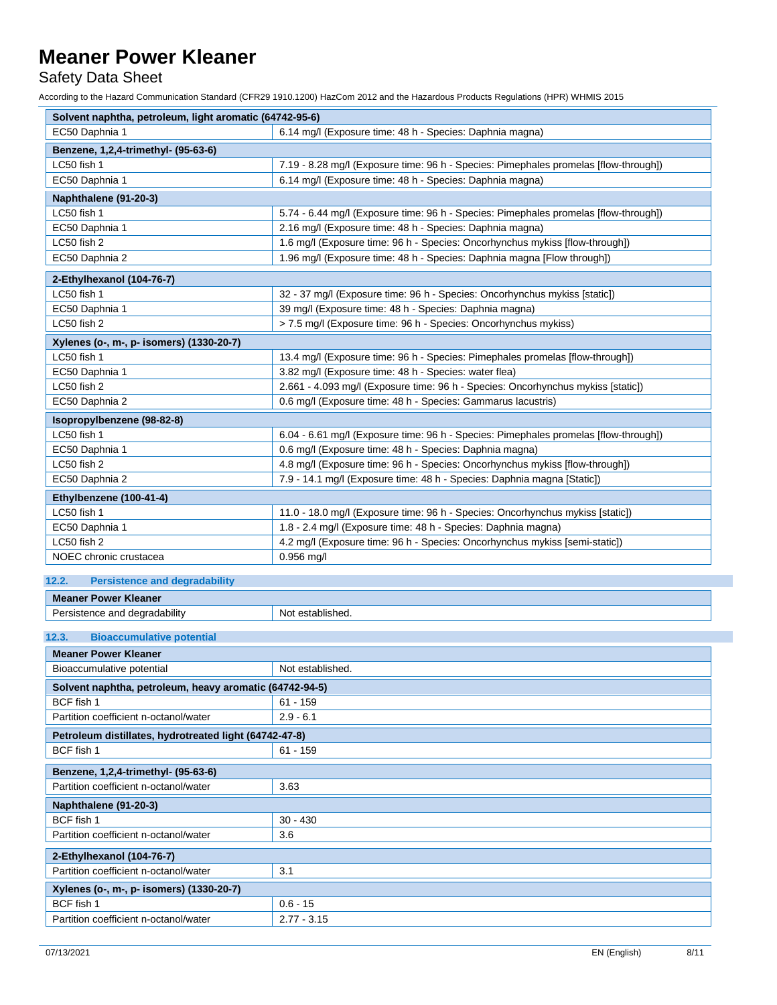Safety Data Sheet

| Solvent naphtha, petroleum, light aromatic (64742-95-6) |                                                                                      |
|---------------------------------------------------------|--------------------------------------------------------------------------------------|
| EC50 Daphnia 1                                          | 6.14 mg/l (Exposure time: 48 h - Species: Daphnia magna)                             |
| Benzene, 1,2,4-trimethyl- (95-63-6)                     |                                                                                      |
| LC50 fish 1                                             | 7.19 - 8.28 mg/l (Exposure time: 96 h - Species: Pimephales promelas [flow-through]) |
| EC50 Daphnia 1                                          | 6.14 mg/l (Exposure time: 48 h - Species: Daphnia magna)                             |
| Naphthalene (91-20-3)                                   |                                                                                      |
| LC50 fish 1                                             | 5.74 - 6.44 mg/l (Exposure time: 96 h - Species: Pimephales promelas [flow-through]) |
| EC50 Daphnia 1                                          | 2.16 mg/l (Exposure time: 48 h - Species: Daphnia magna)                             |
| LC50 fish 2                                             | 1.6 mg/l (Exposure time: 96 h - Species: Oncorhynchus mykiss [flow-through])         |
| EC50 Daphnia 2                                          | 1.96 mg/l (Exposure time: 48 h - Species: Daphnia magna [Flow through])              |
| 2-Ethylhexanol (104-76-7)                               |                                                                                      |
| LC50 fish 1                                             | 32 - 37 mg/l (Exposure time: 96 h - Species: Oncorhynchus mykiss [static])           |
| EC50 Daphnia 1                                          | 39 mg/l (Exposure time: 48 h - Species: Daphnia magna)                               |
| LC50 fish 2                                             | > 7.5 mg/l (Exposure time: 96 h - Species: Oncorhynchus mykiss)                      |
| Xylenes (o-, m-, p- isomers) (1330-20-7)                |                                                                                      |
| LC50 fish 1                                             | 13.4 mg/l (Exposure time: 96 h - Species: Pimephales promelas [flow-through])        |
| EC50 Daphnia 1                                          | 3.82 mg/l (Exposure time: 48 h - Species: water flea)                                |
| LC50 fish 2                                             | 2.661 - 4.093 mg/l (Exposure time: 96 h - Species: Oncorhynchus mykiss [static])     |
| EC50 Daphnia 2                                          | 0.6 mg/l (Exposure time: 48 h - Species: Gammarus lacustris)                         |
| Isopropylbenzene (98-82-8)                              |                                                                                      |
| LC50 fish 1                                             | 6.04 - 6.61 mg/l (Exposure time: 96 h - Species: Pimephales promelas [flow-through]) |
| EC50 Daphnia 1                                          | 0.6 mg/l (Exposure time: 48 h - Species: Daphnia magna)                              |
| LC50 fish 2                                             | 4.8 mg/l (Exposure time: 96 h - Species: Oncorhynchus mykiss [flow-through])         |
| EC50 Daphnia 2                                          | 7.9 - 14.1 mg/l (Exposure time: 48 h - Species: Daphnia magna [Static])              |
| Ethylbenzene (100-41-4)                                 |                                                                                      |
| LC50 fish 1                                             | 11.0 - 18.0 mg/l (Exposure time: 96 h - Species: Oncorhynchus mykiss [static])       |
| EC50 Daphnia 1                                          | 1.8 - 2.4 mg/l (Exposure time: 48 h - Species: Daphnia magna)                        |
| LC50 fish 2                                             | 4.2 mg/l (Exposure time: 96 h - Species: Oncorhynchus mykiss [semi-static])          |
| NOEC chronic crustacea                                  | 0.956 mg/l                                                                           |
| 12.2.<br><b>Persistence and degradability</b>           |                                                                                      |
| <b>Meaner Power Kleaner</b>                             |                                                                                      |
| Persistence and degradability                           | Not established.                                                                     |
| 12.3.                                                   |                                                                                      |
| <b>Bioaccumulative potential</b>                        |                                                                                      |

| <b>Meaner Power Kleaner</b>                             |                  |  |
|---------------------------------------------------------|------------------|--|
| Bioaccumulative potential                               | Not established. |  |
| Solvent naphtha, petroleum, heavy aromatic (64742-94-5) |                  |  |
| BCF fish 1                                              | $61 - 159$       |  |
| Partition coefficient n-octanol/water                   | $2.9 - 6.1$      |  |
| Petroleum distillates, hydrotreated light (64742-47-8)  |                  |  |
| BCF fish 1                                              | $61 - 159$       |  |
| Benzene, 1,2,4-trimethyl- (95-63-6)                     |                  |  |
| Partition coefficient n-octanol/water                   | 3.63             |  |
| Naphthalene (91-20-3)                                   |                  |  |
| BCF fish 1                                              | $30 - 430$       |  |
| Partition coefficient n-octanol/water                   | 3.6              |  |
| 2-Ethylhexanol (104-76-7)                               |                  |  |
| Partition coefficient n-octanol/water                   | 3.1              |  |
| Xylenes (o-, m-, p- isomers) (1330-20-7)                |                  |  |
| BCF fish 1                                              | $0.6 - 15$       |  |
| Partition coefficient n-octanol/water                   | $2.77 - 3.15$    |  |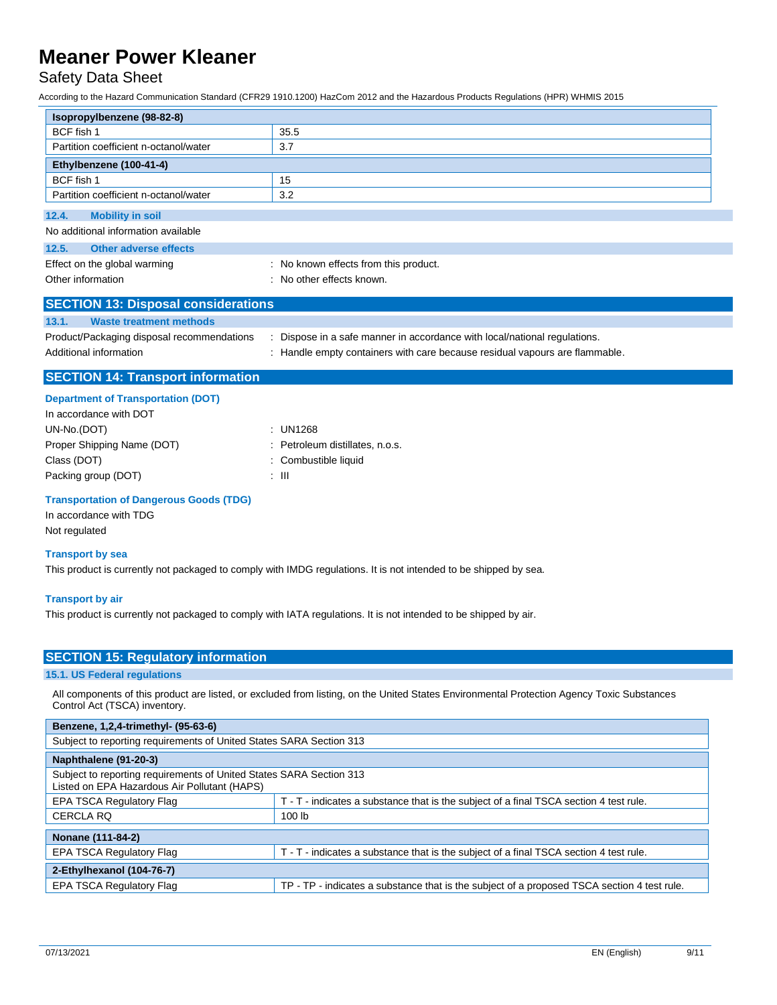Safety Data Sheet

According to the Hazard Communication Standard (CFR29 1910.1200) HazCom 2012 and the Hazardous Products Regulations (HPR) WHMIS 2015

| Isopropylbenzene (98-82-8)                     |                                                                             |
|------------------------------------------------|-----------------------------------------------------------------------------|
| BCF fish 1                                     | 35.5                                                                        |
| Partition coefficient n-octanol/water          | 3.7                                                                         |
| Ethylbenzene (100-41-4)                        |                                                                             |
| BCF fish 1                                     | 15                                                                          |
| Partition coefficient n-octanol/water          | 3.2                                                                         |
| 12.4.<br><b>Mobility in soil</b>               |                                                                             |
| No additional information available            |                                                                             |
| <b>Other adverse effects</b><br>12.5.          |                                                                             |
| Effect on the global warming                   | : No known effects from this product.                                       |
| Other information                              | : No other effects known.                                                   |
| <b>SECTION 13: Disposal considerations</b>     |                                                                             |
| <b>Waste treatment methods</b><br>13.1.        |                                                                             |
| Product/Packaging disposal recommendations     | : Dispose in a safe manner in accordance with local/national regulations.   |
| Additional information                         | : Handle empty containers with care because residual vapours are flammable. |
|                                                |                                                                             |
| <b>SECTION 14: Transport information</b>       |                                                                             |
| <b>Department of Transportation (DOT)</b>      |                                                                             |
| In accordance with DOT                         |                                                                             |
| UN-No.(DOT)                                    | : UN1268                                                                    |
| Proper Shipping Name (DOT)                     | Petroleum distillates, n.o.s.                                               |
| Class (DOT)                                    | : Combustible liquid                                                        |
| Packing group (DOT)                            | $\pm$ 111                                                                   |
| <b>Transportation of Dangerous Goods (TDG)</b> |                                                                             |
| In accordance with TDG                         |                                                                             |
| Not regulated                                  |                                                                             |

#### **Transport by sea**

This product is currently not packaged to comply with IMDG regulations. It is not intended to be shipped by sea.

#### **Transport by air**

This product is currently not packaged to comply with IATA regulations. It is not intended to be shipped by air.

#### **SECTION 15: Regulatory information**

#### **15.1. US Federal regulations**

All components of this product are listed, or excluded from listing, on the United States Environmental Protection Agency Toxic Substances Control Act (TSCA) inventory.

| Benzene, 1,2,4-trimethyl- (95-63-6)                                                                                 |                                                                                             |  |
|---------------------------------------------------------------------------------------------------------------------|---------------------------------------------------------------------------------------------|--|
| Subject to reporting requirements of United States SARA Section 313                                                 |                                                                                             |  |
| Naphthalene (91-20-3)                                                                                               |                                                                                             |  |
| Subject to reporting requirements of United States SARA Section 313<br>Listed on EPA Hazardous Air Pollutant (HAPS) |                                                                                             |  |
| <b>EPA TSCA Regulatory Flag</b>                                                                                     | T - T - indicates a substance that is the subject of a final TSCA section 4 test rule.      |  |
| <b>CERCLA RQ</b>                                                                                                    | 100 lb                                                                                      |  |
| Nonane (111-84-2)                                                                                                   |                                                                                             |  |
| EPA TSCA Regulatory Flag                                                                                            | T - T - indicates a substance that is the subject of a final TSCA section 4 test rule.      |  |
| 2-Ethylhexanol (104-76-7)                                                                                           |                                                                                             |  |
| <b>EPA TSCA Regulatory Flag</b>                                                                                     | TP - TP - indicates a substance that is the subject of a proposed TSCA section 4 test rule. |  |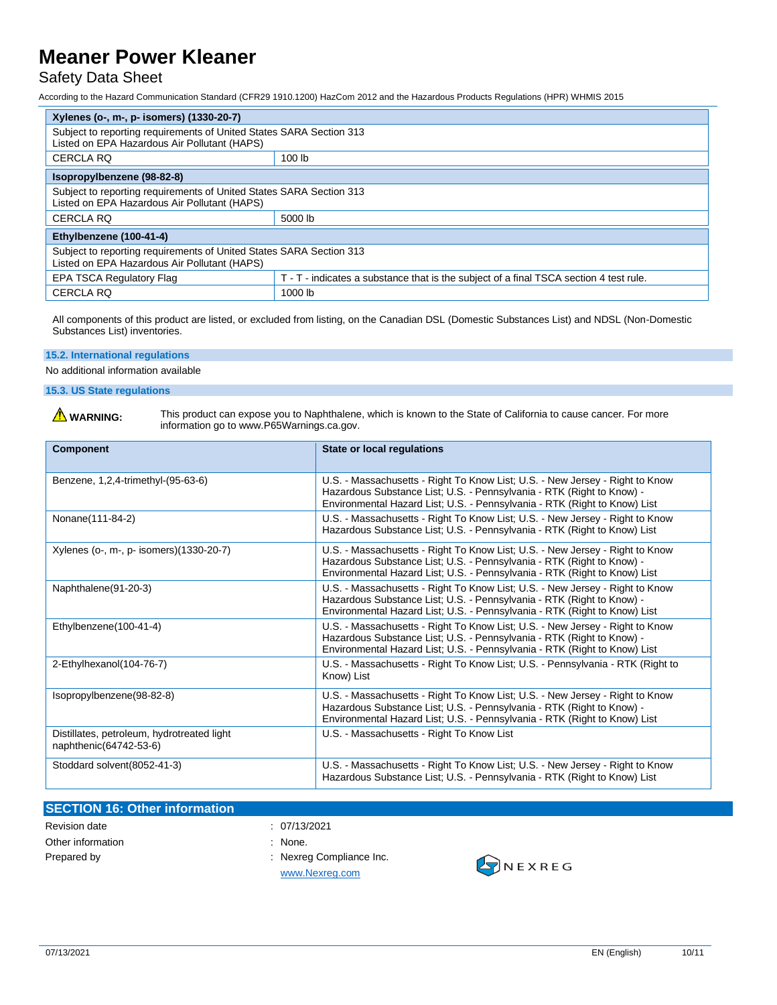#### Safety Data Sheet

According to the Hazard Communication Standard (CFR29 1910.1200) HazCom 2012 and the Hazardous Products Regulations (HPR) WHMIS 2015

| Xylenes (o-, m-, p- isomers) (1330-20-7)                                                                            |                                                                                        |  |
|---------------------------------------------------------------------------------------------------------------------|----------------------------------------------------------------------------------------|--|
| Subject to reporting requirements of United States SARA Section 313<br>Listed on EPA Hazardous Air Pollutant (HAPS) |                                                                                        |  |
| <b>CERCLA RQ</b>                                                                                                    | 100 lb                                                                                 |  |
| Isopropylbenzene (98-82-8)                                                                                          |                                                                                        |  |
| Subject to reporting requirements of United States SARA Section 313<br>Listed on EPA Hazardous Air Pollutant (HAPS) |                                                                                        |  |
| <b>CERCLA RQ</b>                                                                                                    | 5000 lb                                                                                |  |
| Ethylbenzene (100-41-4)                                                                                             |                                                                                        |  |
| Subject to reporting requirements of United States SARA Section 313<br>Listed on EPA Hazardous Air Pollutant (HAPS) |                                                                                        |  |
| <b>EPA TSCA Regulatory Flag</b>                                                                                     | T - T - indicates a substance that is the subject of a final TSCA section 4 test rule. |  |
| <b>CERCLA RQ</b>                                                                                                    | 1000 lb                                                                                |  |

All components of this product are listed, or excluded from listing, on the Canadian DSL (Domestic Substances List) and NDSL (Non-Domestic Substances List) inventories.

#### **15.2. International regulations**

No additional information available

**15.3. US State regulations**

WARNING: This product can expose you to Naphthalene, which is known to the State of California to cause cancer. For more information go to www.P65Warnings.ca.gov.

| <b>Component</b>                                                     | <b>State or local regulations</b>                                                                                                                                                                                                  |
|----------------------------------------------------------------------|------------------------------------------------------------------------------------------------------------------------------------------------------------------------------------------------------------------------------------|
| Benzene, 1,2,4-trimethyl-(95-63-6)                                   | U.S. - Massachusetts - Right To Know List; U.S. - New Jersey - Right to Know<br>Hazardous Substance List; U.S. - Pennsylvania - RTK (Right to Know) -<br>Environmental Hazard List; U.S. - Pennsylvania - RTK (Right to Know) List |
| Nonane(111-84-2)                                                     | U.S. - Massachusetts - Right To Know List; U.S. - New Jersey - Right to Know<br>Hazardous Substance List; U.S. - Pennsylvania - RTK (Right to Know) List                                                                           |
| Xylenes (o-, m-, p- isomers)(1330-20-7)                              | U.S. - Massachusetts - Right To Know List; U.S. - New Jersey - Right to Know<br>Hazardous Substance List; U.S. - Pennsylvania - RTK (Right to Know) -<br>Environmental Hazard List; U.S. - Pennsylvania - RTK (Right to Know) List |
| Naphthalene(91-20-3)                                                 | U.S. - Massachusetts - Right To Know List; U.S. - New Jersey - Right to Know<br>Hazardous Substance List; U.S. - Pennsylvania - RTK (Right to Know) -<br>Environmental Hazard List; U.S. - Pennsylvania - RTK (Right to Know) List |
| Ethylbenzene(100-41-4)                                               | U.S. - Massachusetts - Right To Know List; U.S. - New Jersey - Right to Know<br>Hazardous Substance List; U.S. - Pennsylvania - RTK (Right to Know) -<br>Environmental Hazard List; U.S. - Pennsylvania - RTK (Right to Know) List |
| 2-Ethylhexanol(104-76-7)                                             | U.S. - Massachusetts - Right To Know List; U.S. - Pennsylvania - RTK (Right to<br>Know) List                                                                                                                                       |
| Isopropylbenzene(98-82-8)                                            | U.S. - Massachusetts - Right To Know List; U.S. - New Jersey - Right to Know<br>Hazardous Substance List; U.S. - Pennsylvania - RTK (Right to Know) -<br>Environmental Hazard List; U.S. - Pennsylvania - RTK (Right to Know) List |
| Distillates, petroleum, hydrotreated light<br>naphthenic(64742-53-6) | U.S. - Massachusetts - Right To Know List                                                                                                                                                                                          |
| Stoddard solvent (8052-41-3)                                         | U.S. - Massachusetts - Right To Know List; U.S. - New Jersey - Right to Know<br>Hazardous Substance List; U.S. - Pennsylvania - RTK (Right to Know) List                                                                           |

#### **SECTION 16: Other information**

- Other information in the contract of the contract of the contract of the contract of the contract of the contract of the contract of the contract of the contract of the contract of the contract of the contract of the contr
- Revision date : 07/13/2021
	-
- Prepared by  $\qquad \qquad$ : Nexreg Compliance Inc. [www.Nexreg.com](http://www.nexreg.com/)